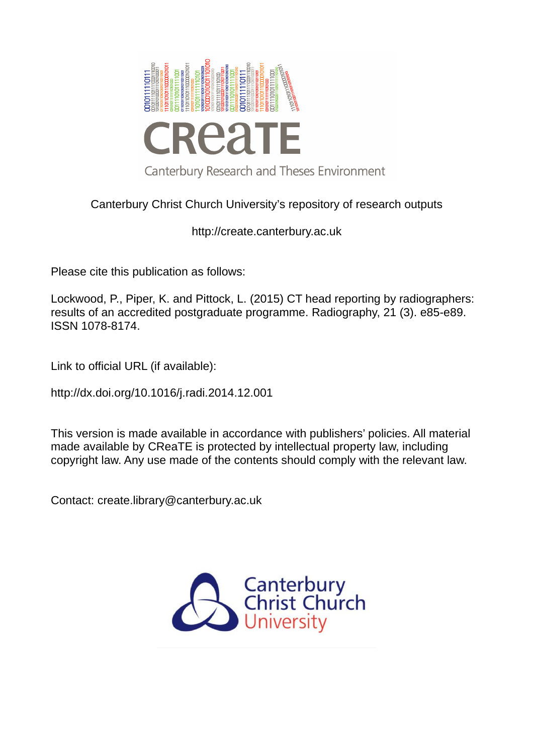

# Canterbury Christ Church University's repository of research outputs

http://create.canterbury.ac.uk

Please cite this publication as follows:

Lockwood, P., Piper, K. and Pittock, L. (2015) CT head reporting by radiographers: results of an accredited postgraduate programme. Radiography, 21 (3). e85-e89. ISSN 1078-8174.

Link to official URL (if available):

http://dx.doi.org/10.1016/j.radi.2014.12.001

This version is made available in accordance with publishers' policies. All material made available by CReaTE is protected by intellectual property law, including copyright law. Any use made of the contents should comply with the relevant law.

Contact: create.library@canterbury.ac.uk

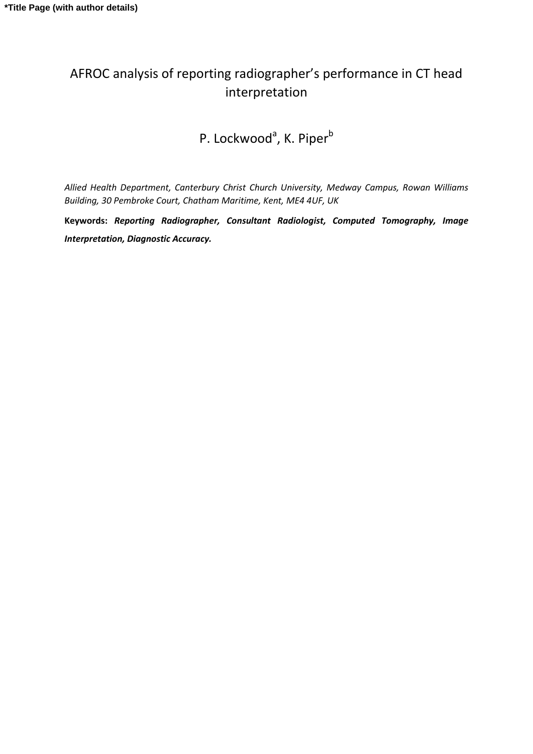# AFROC analysis of reporting radiographer's performance in CT head interpretation

P. Lockwood<sup>a</sup>, K. Piper<sup>b</sup>

*Allied Health Department, Canterbury Christ Church University, Medway Campus, Rowan Williams Building, 30 Pembroke Court, Chatham Maritime, Kent, ME4 4UF, UK* 

**Keywords:** *Reporting Radiographer, Consultant Radiologist, Computed Tomography, Image Interpretation, Diagnostic Accuracy.*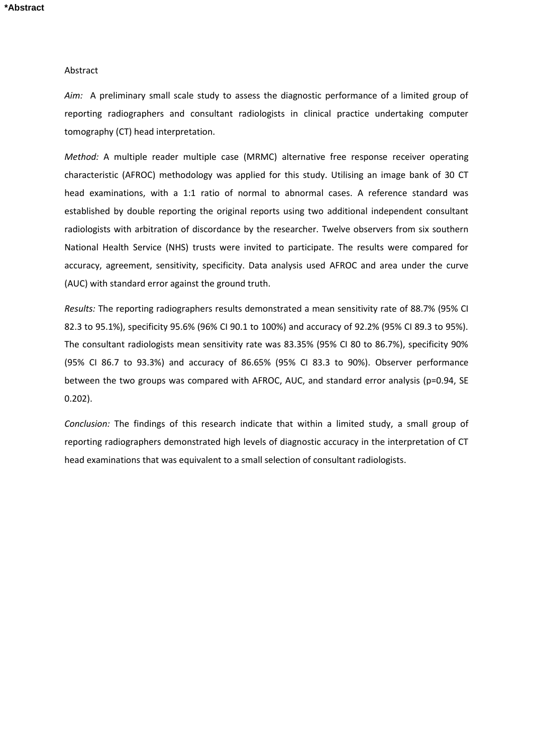#### Abstract

*Aim:* A preliminary small scale study to assess the diagnostic performance of a limited group of reporting radiographers and consultant radiologists in clinical practice undertaking computer tomography (CT) head interpretation.

*Method:* A multiple reader multiple case (MRMC) alternative free response receiver operating characteristic (AFROC) methodology was applied for this study. Utilising an image bank of 30 CT head examinations, with a 1:1 ratio of normal to abnormal cases. A reference standard was established by double reporting the original reports using two additional independent consultant radiologists with arbitration of discordance by the researcher. Twelve observers from six southern National Health Service (NHS) trusts were invited to participate. The results were compared for accuracy, agreement, sensitivity, specificity. Data analysis used AFROC and area under the curve (AUC) with standard error against the ground truth.

*Results:* The reporting radiographers results demonstrated a mean sensitivity rate of 88.7% (95% CI 82.3 to 95.1%), specificity 95.6% (96% CI 90.1 to 100%) and accuracy of 92.2% (95% CI 89.3 to 95%). The consultant radiologists mean sensitivity rate was 83.35% (95% CI 80 to 86.7%), specificity 90% (95% CI 86.7 to 93.3%) and accuracy of 86.65% (95% CI 83.3 to 90%). Observer performance between the two groups was compared with AFROC, AUC, and standard error analysis (p=0.94, SE 0.202).

*Conclusion:* The findings of this research indicate that within a limited study, a small group of reporting radiographers demonstrated high levels of diagnostic accuracy in the interpretation of CT head examinations that was equivalent to a small selection of consultant radiologists.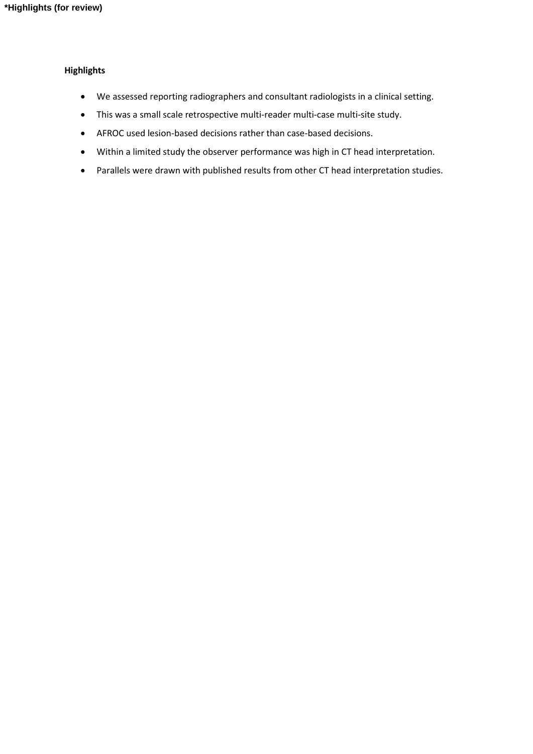## **Highlights**

- We assessed reporting radiographers and consultant radiologists in a clinical setting.
- This was a small scale retrospective multi-reader multi-case multi-site study.
- AFROC used lesion-based decisions rather than case-based decisions.
- Within a limited study the observer performance was high in CT head interpretation.
- Parallels were drawn with published results from other CT head interpretation studies.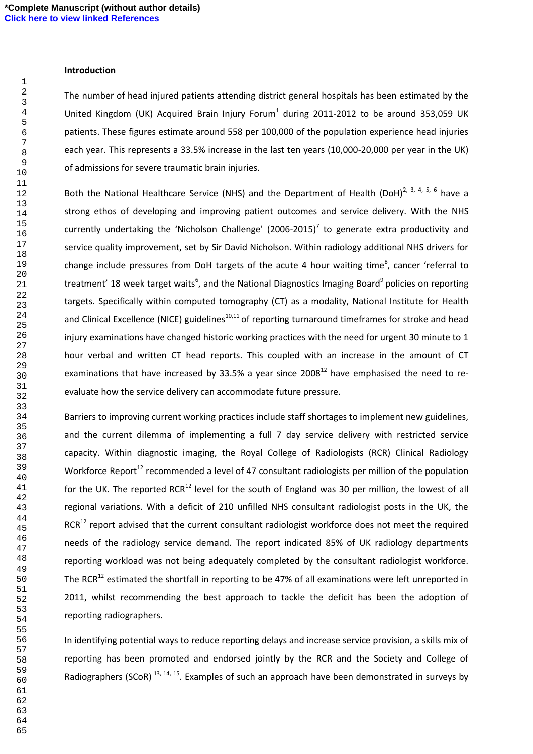### **Introduction**

The number of head injured patients attending district general hospitals has been estimated by the United Kingdom (UK) Acquired Brain Injury Forum<sup>1</sup> during 2011-2012 to be around 353,059 UK patients. These figures estimate around 558 per 100,000 of the population experience head injuries each year. This represents a 33.5% increase in the last ten years (10,000-20,000 per year in the UK) of admissions for severe traumatic brain injuries.

Both the National Healthcare Service (NHS) and the Department of Health (DoH)<sup>2, 3, 4, 5, 6</sup> have a strong ethos of developing and improving patient outcomes and service delivery. With the NHS currently undertaking the 'Nicholson Challenge' (2006-2015)<sup>7</sup> to generate extra productivity and service quality improvement, set by Sir David Nicholson. Within radiology additional NHS drivers for change include pressures from DoH targets of the acute 4 hour waiting time<sup>8</sup>, cancer 'referral to treatment' 18 week target waits<sup>6</sup>, and the National Diagnostics Imaging Board<sup>9</sup> policies on reporting targets. Specifically within computed tomography (CT) as a modality, National Institute for Health and Clinical Excellence (NICE) guidelines $^{10,11}$  of reporting turnaround timeframes for stroke and head injury examinations have changed historic working practices with the need for urgent 30 minute to 1 hour verbal and written CT head reports. This coupled with an increase in the amount of CT examinations that have increased by 33.5% a year since 2008 $^{12}$  have emphasised the need to reevaluate how the service delivery can accommodate future pressure.

Barriers to improving current working practices include staff shortages to implement new guidelines, and the current dilemma of implementing a full 7 day service delivery with restricted service capacity. Within diagnostic imaging, the Royal College of Radiologists (RCR) Clinical Radiology Workforce Report<sup>12</sup> recommended a level of 47 consultant radiologists per million of the population for the UK. The reported RCR<sup>12</sup> level for the south of England was 30 per million, the lowest of all regional variations. With a deficit of 210 unfilled NHS consultant radiologist posts in the UK, the RCR<sup>12</sup> report advised that the current consultant radiologist workforce does not meet the required needs of the radiology service demand. The report indicated 85% of UK radiology departments reporting workload was not being adequately completed by the consultant radiologist workforce. The RCR<sup>12</sup> estimated the shortfall in reporting to be 47% of all examinations were left unreported in 2011, whilst recommending the best approach to tackle the deficit has been the adoption of reporting radiographers.

In identifying potential ways to reduce reporting delays and increase service provision, a skills mix of reporting has been promoted and endorsed jointly by the RCR and the Society and College of Radiographers (SCoR)<sup>13, 14, 15</sup>. Examples of such an approach have been demonstrated in surveys by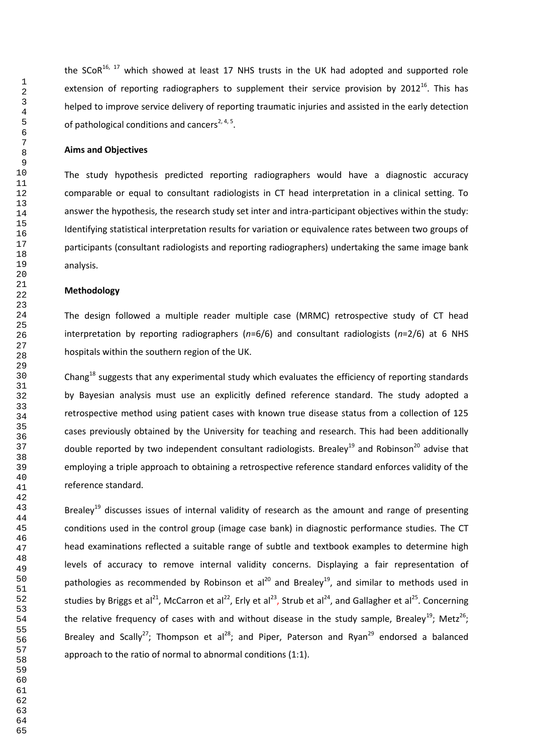the SCoR<sup>16, 17</sup> which showed at least 17 NHS trusts in the UK had adopted and supported role extension of reporting radiographers to supplement their service provision by  $2012^{16}$ . This has helped to improve service delivery of reporting traumatic injuries and assisted in the early detection of pathological conditions and cancers<sup>2, 4, 5</sup>.

### **Aims and Objectives**

The study hypothesis predicted reporting radiographers would have a diagnostic accuracy comparable or equal to consultant radiologists in CT head interpretation in a clinical setting. To answer the hypothesis, the research study set inter and intra-participant objectives within the study: Identifying statistical interpretation results for variation or equivalence rates between two groups of participants (consultant radiologists and reporting radiographers) undertaking the same image bank analysis.

## **Methodology**

The design followed a multiple reader multiple case (MRMC) retrospective study of CT head interpretation by reporting radiographers (*n*=6/6) and consultant radiologists (*n*=2/6) at 6 NHS hospitals within the southern region of the UK.

Chang<sup>18</sup> suggests that any experimental study which evaluates the efficiency of reporting standards by Bayesian analysis must use an explicitly defined reference standard. The study adopted a retrospective method using patient cases with known true disease status from a collection of 125 cases previously obtained by the University for teaching and research. This had been additionally double reported by two independent consultant radiologists. Brealey<sup>19</sup> and Robinson<sup>20</sup> advise that employing a triple approach to obtaining a retrospective reference standard enforces validity of the reference standard.

Brealey<sup>19</sup> discusses issues of internal validity of research as the amount and range of presenting conditions used in the control group (image case bank) in diagnostic performance studies. The CT head examinations reflected a suitable range of subtle and textbook examples to determine high levels of accuracy to remove internal validity concerns. Displaying a fair representation of pathologies as recommended by Robinson et al<sup>20</sup> and Brealey<sup>19</sup>, and similar to methods used in studies by Briggs et al<sup>21</sup>, McCarron et al<sup>22</sup>, Erly et al<sup>23</sup>, Strub et al<sup>24</sup>, and Gallagher et al<sup>25</sup>. Concerning the relative frequency of cases with and without disease in the study sample, Brealey<sup>19</sup>; Metz<sup>26</sup>; Brealey and Scally<sup>27</sup>; Thompson et al<sup>28</sup>; and Piper, Paterson and Ryan<sup>29</sup> endorsed a balanced approach to the ratio of normal to abnormal conditions (1:1).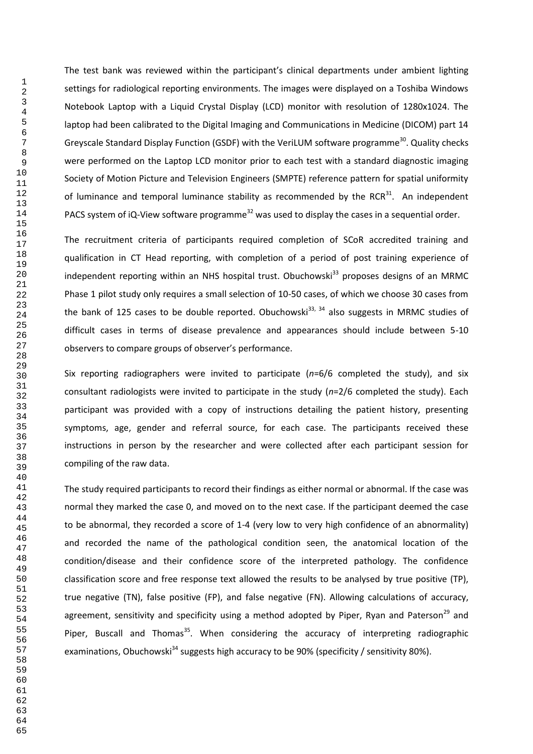The test bank was reviewed within the participant's clinical departments under ambient lighting settings for radiological reporting environments. The images were displayed on a Toshiba Windows Notebook Laptop with a Liquid Crystal Display (LCD) monitor with resolution of 1280x1024. The laptop had been calibrated to the Digital Imaging and Communications in Medicine (DICOM) part 14 Greyscale Standard Display Function (GSDF) with the VeriLUM software programme<sup>30</sup>. Quality checks were performed on the Laptop LCD monitor prior to each test with a standard diagnostic imaging Society of Motion Picture and Television Engineers (SMPTE) reference pattern for spatial uniformity of luminance and temporal luminance stability as recommended by the RCR. An independent PACS system of iQ-View software programme<sup>32</sup> was used to display the cases in a sequential order.

The recruitment criteria of participants required completion of SCoR accredited training and qualification in CT Head reporting, with completion of a period of post training experience of independent reporting within an NHS hospital trust. Obuchowski<sup>33</sup> proposes designs of an MRMC Phase 1 pilot study only requires a small selection of 10-50 cases, of which we choose 30 cases from the bank of 125 cases to be double reported. Obuchowski<sup>33, 34</sup> also suggests in MRMC studies of difficult cases in terms of disease prevalence and appearances should include between 5-10 observers to compare groups of observer's performance.

Six reporting radiographers were invited to participate (*n*=6/6 completed the study), and six consultant radiologists were invited to participate in the study (*n*=2/6 completed the study). Each participant was provided with a copy of instructions detailing the patient history, presenting symptoms, age, gender and referral source, for each case. The participants received these instructions in person by the researcher and were collected after each participant session for compiling of the raw data.

The study required participants to record their findings as either normal or abnormal. If the case was normal they marked the case 0, and moved on to the next case. If the participant deemed the case to be abnormal, they recorded a score of 1-4 (very low to very high confidence of an abnormality) and recorded the name of the pathological condition seen, the anatomical location of the condition/disease and their confidence score of the interpreted pathology. The confidence classification score and free response text allowed the results to be analysed by true positive (TP), true negative (TN), false positive (FP), and false negative (FN). Allowing calculations of accuracy, agreement, sensitivity and specificity using a method adopted by Piper, Ryan and Paterson<sup>29</sup> and Piper, Buscall and Thomas<sup>35</sup>. When considering the accuracy of interpreting radiographic examinations, Obuchowski<sup>34</sup> suggests high accuracy to be 90% (specificity / sensitivity 80%).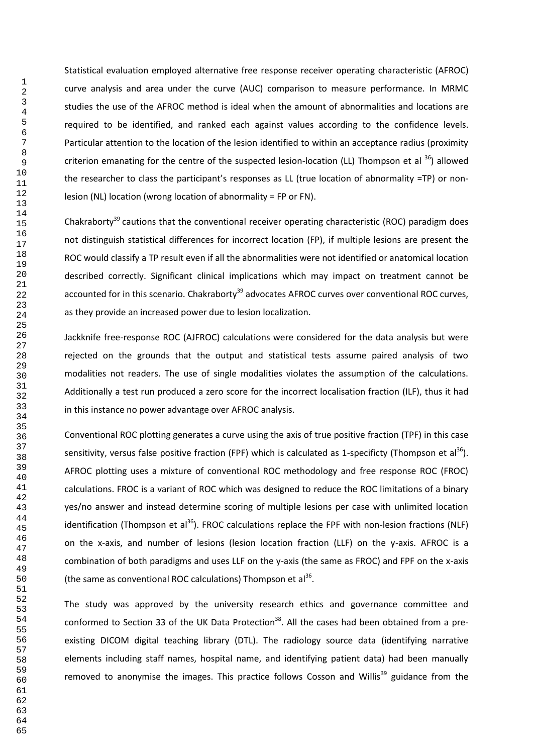Statistical evaluation employed alternative free response receiver operating characteristic (AFROC) curve analysis and area under the curve (AUC) comparison to measure performance. In MRMC studies the use of the AFROC method is ideal when the amount of abnormalities and locations are required to be identified, and ranked each against values according to the confidence levels. Particular attention to the location of the lesion identified to within an acceptance radius (proximity criterion emanating for the centre of the suspected lesion-location (LL) Thompson et al  $^{36}$ ) allowed the researcher to class the participant's responses as LL (true location of abnormality =TP) or nonlesion (NL) location (wrong location of abnormality = FP or FN).

Chakraborty<sup>39</sup> cautions that the conventional receiver operating characteristic (ROC) paradigm does not distinguish statistical differences for incorrect location (FP), if multiple lesions are present the ROC would classify a TP result even if all the abnormalities were not identified or anatomical location described correctly. Significant clinical implications which may impact on treatment cannot be accounted for in this scenario. Chakraborty<sup>39</sup> advocates AFROC curves over conventional ROC curves, as they provide an increased power due to lesion localization.

Jackknife free-response ROC (AJFROC) calculations were considered for the data analysis but were rejected on the grounds that the output and statistical tests assume paired analysis of two modalities not readers. The use of single modalities violates the assumption of the calculations. Additionally a test run produced a zero score for the incorrect localisation fraction (ILF), thus it had in this instance no power advantage over AFROC analysis.

Conventional ROC plotting generates a curve using the axis of true positive fraction (TPF) in this case sensitivity, versus false positive fraction (FPF) which is calculated as 1-specificty (Thompson et al<sup>36</sup>). AFROC plotting uses a mixture of conventional ROC methodology and free response ROC (FROC) calculations. FROC is a variant of ROC which was designed to reduce the ROC limitations of a binary yes/no answer and instead determine scoring of multiple lesions per case with unlimited location identification (Thompson et al<sup>36</sup>). FROC calculations replace the FPF with non-lesion fractions (NLF) on the x-axis, and number of lesions (lesion location fraction (LLF) on the y-axis. AFROC is a combination of both paradigms and uses LLF on the y-axis (the same as FROC) and FPF on the x-axis (the same as conventional ROC calculations) Thompson et  $al^{36}$ .

The study was approved by the university research ethics and governance committee and conformed to Section 33 of the UK Data Protection<sup>38</sup>. All the cases had been obtained from a preexisting DICOM digital teaching library (DTL). The radiology source data (identifying narrative elements including staff names, hospital name, and identifying patient data) had been manually removed to anonymise the images. This practice follows Cosson and Willis<sup>39</sup> guidance from the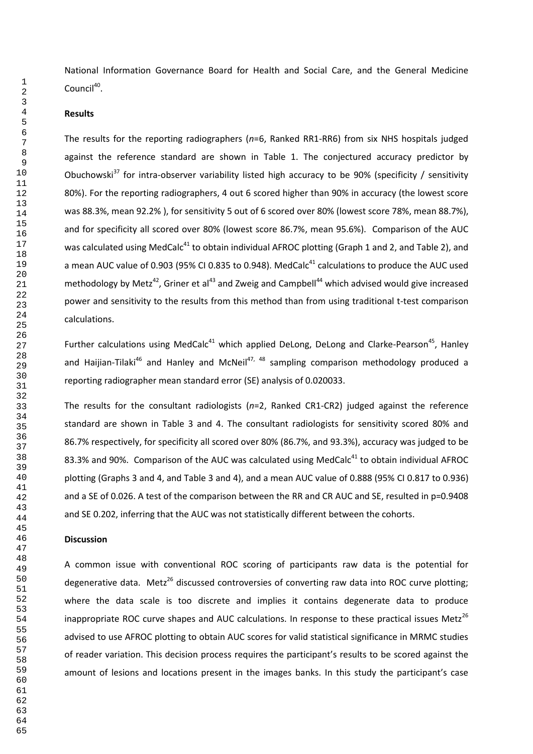National Information Governance Board for Health and Social Care, and the General Medicine Council<sup>40</sup>.

## **Results**

The results for the reporting radiographers (*n*=6, Ranked RR1-RR6) from six NHS hospitals judged against the reference standard are shown in Table 1. The conjectured accuracy predictor by Obuchowski<sup>37</sup> for intra-observer variability listed high accuracy to be 90% (specificity / sensitivity 80%). For the reporting radiographers, 4 out 6 scored higher than 90% in accuracy (the lowest score was 88.3%, mean 92.2% ), for sensitivity 5 out of 6 scored over 80% (lowest score 78%, mean 88.7%), and for specificity all scored over 80% (lowest score 86.7%, mean 95.6%). Comparison of the AUC was calculated using MedCalc<sup>41</sup> to obtain individual AFROC plotting (Graph 1 and 2, and Table 2), and a mean AUC value of 0.903 (95% CI 0.835 to 0.948). MedCalc<sup>41</sup> calculations to produce the AUC used methodology by Metz<sup>42</sup>, Griner et al<sup>43</sup> and Zweig and Campbell<sup>44</sup> which advised would give increased power and sensitivity to the results from this method than from using traditional t-test comparison calculations.

Further calculations using MedCalc<sup>41</sup> which applied DeLong, DeLong and Clarke-Pearson<sup>45</sup>, Hanley and Haijian-Tilaki<sup>46</sup> and Hanley and McNeil<sup>47, 48</sup> sampling comparison methodology produced a reporting radiographer mean standard error (SE) analysis of 0.020033.

The results for the consultant radiologists (*n*=2, Ranked CR1-CR2) judged against the reference standard are shown in Table 3 and 4. The consultant radiologists for sensitivity scored 80% and 86.7% respectively, for specificity all scored over 80% (86.7%, and 93.3%), accuracy was judged to be 83.3% and 90%. Comparison of the AUC was calculated using MedCalc to obtain individual AFROC plotting (Graphs 3 and 4, and Table 3 and 4), and a mean AUC value of 0.888 (95% CI 0.817 to 0.936) and a SE of 0.026. A test of the comparison between the RR and CR AUC and SE, resulted in p=0.9408 and SE 0.202, inferring that the AUC was not statistically different between the cohorts.

### **Discussion**

A common issue with conventional ROC scoring of participants raw data is the potential for degenerative data. Metz<sup>26</sup> discussed controversies of converting raw data into ROC curve plotting; where the data scale is too discrete and implies it contains degenerate data to produce inappropriate ROC curve shapes and AUC calculations. In response to these practical issues Metz<sup>26</sup> advised to use AFROC plotting to obtain AUC scores for valid statistical significance in MRMC studies of reader variation. This decision process requires the participant's results to be scored against the amount of lesions and locations present in the images banks. In this study the participant's case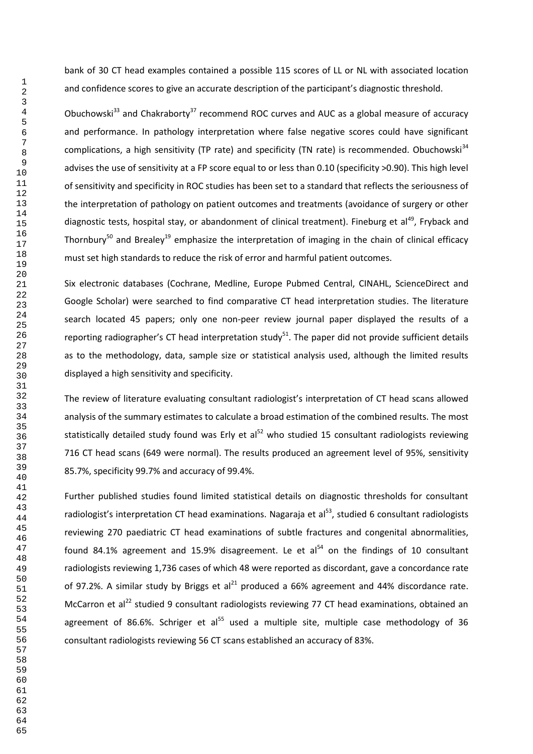bank of 30 CT head examples contained a possible 115 scores of LL or NL with associated location and confidence scores to give an accurate description of the participant's diagnostic threshold.

Obuchowski<sup>33</sup> and Chakraborty<sup>37</sup> recommend ROC curves and AUC as a global measure of accuracy and performance. In pathology interpretation where false negative scores could have significant complications, a high sensitivity (TP rate) and specificity (TN rate) is recommended. Obuchowski<sup>34</sup> advises the use of sensitivity at a FP score equal to or less than 0.10 (specificity >0.90). This high level of sensitivity and specificity in ROC studies has been set to a standard that reflects the seriousness of the interpretation of pathology on patient outcomes and treatments (avoidance of surgery or other diagnostic tests, hospital stay, or abandonment of clinical treatment). Fineburg et al<sup>49</sup>, Fryback and Thornbury<sup>50</sup> and Brealey<sup>19</sup> emphasize the interpretation of imaging in the chain of clinical efficacy must set high standards to reduce the risk of error and harmful patient outcomes.

Six electronic databases (Cochrane, Medline, Europe Pubmed Central, CINAHL, ScienceDirect and Google Scholar) were searched to find comparative CT head interpretation studies. The literature search located 45 papers; only one non-peer review journal paper displayed the results of a reporting radiographer's CT head interpretation study. The paper did not provide sufficient details as to the methodology, data, sample size or statistical analysis used, although the limited results displayed a high sensitivity and specificity.

The review of literature evaluating consultant radiologist's interpretation of CT head scans allowed analysis of the summary estimates to calculate a broad estimation of the combined results. The most statistically detailed study found was Erly et al<sup>52</sup> who studied 15 consultant radiologists reviewing 716 CT head scans (649 were normal). The results produced an agreement level of 95%, sensitivity 85.7%, specificity 99.7% and accuracy of 99.4%.

Further published studies found limited statistical details on diagnostic thresholds for consultant radiologist's interpretation CT head examinations. Nagaraja et al $^{53}$ , studied 6 consultant radiologists reviewing 270 paediatric CT head examinations of subtle fractures and congenital abnormalities, found 84.1% agreement and 15.9% disagreement. Le et al $^{54}$  on the findings of 10 consultant radiologists reviewing 1,736 cases of which 48 were reported as discordant, gave a concordance rate of 97.2%. A similar study by Briggs et al<sup>21</sup> produced a 66% agreement and 44% discordance rate. McCarron et al<sup>22</sup> studied 9 consultant radiologists reviewing 77 CT head examinations, obtained an agreement of 86.6%. Schriger et al<sup>55</sup> used a multiple site, multiple case methodology of 36 consultant radiologists reviewing 56 CT scans established an accuracy of 83%.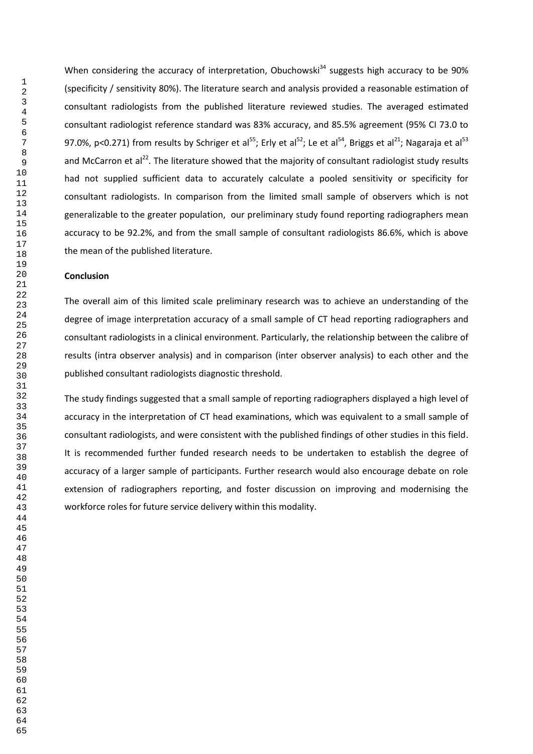When considering the accuracy of interpretation, Obuchowski<sup>34</sup> suggests high accuracy to be 90% (specificity / sensitivity 80%). The literature search and analysis provided a reasonable estimation of consultant radiologists from the published literature reviewed studies. The averaged estimated consultant radiologist reference standard was 83% accuracy, and 85.5% agreement (95% CI 73.0 to 97.0%, p<0.271) from results by Schriger et al<sup>55</sup>; Erly et al<sup>52</sup>; Le et al<sup>54</sup>, Briggs et al<sup>21</sup>; Nagaraja et al<sup>53</sup> and McCarron et al<sup>22</sup>. The literature showed that the majority of consultant radiologist study results had not supplied sufficient data to accurately calculate a pooled sensitivity or specificity for consultant radiologists. In comparison from the limited small sample of observers which is not generalizable to the greater population, our preliminary study found reporting radiographers mean accuracy to be 92.2%, and from the small sample of consultant radiologists 86.6%, which is above the mean of the published literature.

#### **Conclusion**

The overall aim of this limited scale preliminary research was to achieve an understanding of the degree of image interpretation accuracy of a small sample of CT head reporting radiographers and consultant radiologists in a clinical environment. Particularly, the relationship between the calibre of results (intra observer analysis) and in comparison (inter observer analysis) to each other and the published consultant radiologists diagnostic threshold.

The study findings suggested that a small sample of reporting radiographers displayed a high level of accuracy in the interpretation of CT head examinations, which was equivalent to a small sample of consultant radiologists, and were consistent with the published findings of other studies in this field. It is recommended further funded research needs to be undertaken to establish the degree of accuracy of a larger sample of participants. Further research would also encourage debate on role extension of radiographers reporting, and foster discussion on improving and modernising the workforce roles for future service delivery within this modality.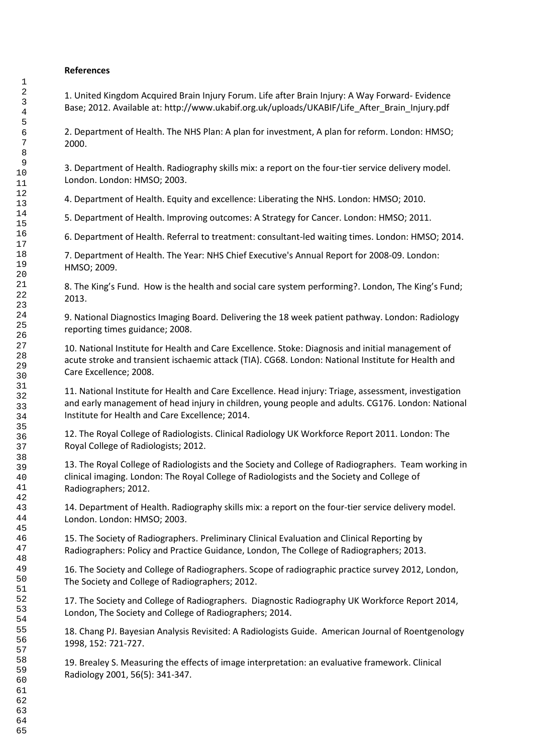# **References**

1. United Kingdom Acquired Brain Injury Forum. Life after Brain Injury: A Way Forward- Evidence Base; 2012. Available at[: http://www.ukabif.org.uk/uploads/UKABIF/Life\\_After\\_Brain\\_Injury.pdf](http://www.ukabif.org.uk/uploads/UKABIF/Life_After_Brain_Injury.pdf) 

2. Department of Health. The NHS Plan: A plan for investment, A plan for reform. London: HMSO; 2000.

3. Department of Health. Radiography skills mix: a report on the four-tier service delivery model. London. London: HMSO; 2003.

4. Department of Health. Equity and excellence: Liberating the NHS. London: HMSO; 2010.

5. Department of Health. Improving outcomes: A Strategy for Cancer. London: HMSO; 2011.

6. Department of Health. Referral to treatment: consultant-led waiting times. London: HMSO; 2014.

7. Department of Health. The Year: NHS Chief Executive's Annual Report for 2008-09. London: HMSO; 2009.

8. The King's Fund. How is the health and social care system performing?. London, The King's Fund; 2013.

9. National Diagnostics Imaging Board. Delivering the 18 week patient pathway. London: Radiology reporting times guidance; 2008.

10. National Institute for Health and Care Excellence. Stoke: Diagnosis and initial management of acute stroke and transient ischaemic attack (TIA). CG68. London: National Institute for Health and Care Excellence; 2008.

11. National Institute for Health and Care Excellence. Head injury: Triage, assessment, investigation and early management of head injury in children, young people and adults. CG176. London: National Institute for Health and Care Excellence; 2014.

12. The Royal College of Radiologists. Clinical Radiology UK Workforce Report 2011. London: The Royal College of Radiologists; 2012.

13. The Royal College of Radiologists and the Society and College of Radiographers. Team working in clinical imaging. London: The Royal College of Radiologists and the Society and College of Radiographers; 2012.

14. Department of Health. Radiography skills mix: a report on the four-tier service delivery model. London. London: HMSO; 2003.

15. The Society of Radiographers. Preliminary Clinical Evaluation and Clinical Reporting by Radiographers: Policy and Practice Guidance, London, The College of Radiographers; 2013.

16. The Society and College of Radiographers. Scope of radiographic practice survey 2012, London, The Society and College of Radiographers; 2012.

17. The Society and College of Radiographers. Diagnostic Radiography UK Workforce Report 2014, London, The Society and College of Radiographers; 2014.

18. Chang PJ. Bayesian Analysis Revisited: A Radiologists Guide. American Journal of Roentgenology 1998, 152: 721-727.

19. Brealey S. Measuring the effects of image interpretation: an evaluative framework. Clinical Radiology 2001, 56(5): 341-347.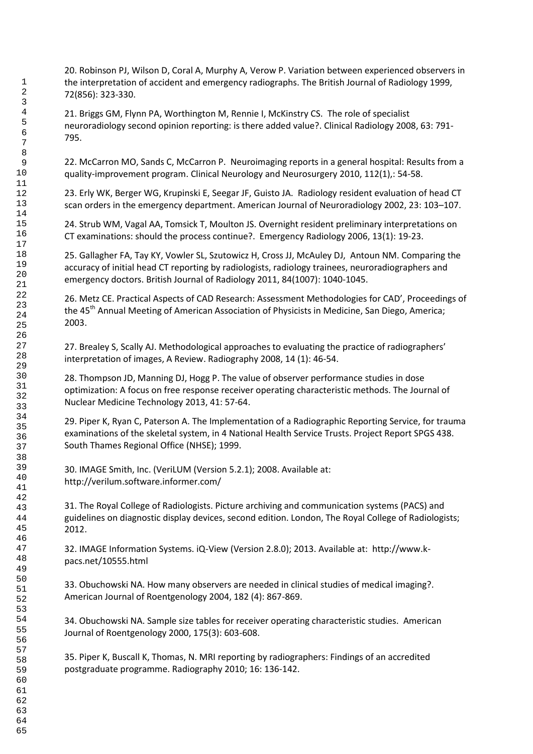20. Robinson PJ, Wilson D, Coral A, Murphy A, Verow P. Variation between experienced observers in the interpretation of accident and emergency radiographs. The British Journal of Radiology 1999, 72(856): 323-330.

21. Briggs GM, Flynn PA, Worthington M, Rennie I, McKinstry CS. The role of specialist neuroradiology second opinion reporting: is there added value?. Clinical Radiology 2008, 63: 791- 795.

22. McCarron MO, Sands C, McCarron P. Neuroimaging reports in a general hospital: Results from a quality-improvement program. Clinical Neurology and Neurosurgery 2010, 112(1),: 54-58.

23. Erly WK, Berger WG, Krupinski E, Seegar JF, Guisto JA. Radiology resident evaluation of head CT scan orders in the emergency department. American Journal of Neuroradiology 2002, 23: 103–107.

24. Strub WM, Vagal AA, Tomsick T, Moulton JS. Overnight resident preliminary interpretations on CT examinations: should the process continue?. Emergency Radiology 2006, 13(1): 19-23.

25. Gallagher FA, Tay KY, Vowler SL, Szutowicz H, Cross JJ, McAuley DJ, Antoun NM. Comparing the accuracy of initial head CT reporting by radiologists, radiology trainees, neuroradiographers and emergency doctors. British Journal of Radiology 2011, 84(1007): 1040-1045.

26. Metz CE. Practical Aspects of CAD Research: Assessment Methodologies for CAD', Proceedings of the 45<sup>th</sup> Annual Meeting of American Association of Physicists in Medicine, San Diego, America; 2003.

27. Brealey S, Scally AJ. Methodological approaches to evaluating the practice of radiographers' interpretation of images, A Review. Radiography 2008, 14 (1): 46-54.

28. Thompson JD, Manning DJ, Hogg P. The value of observer performance studies in dose optimization: A focus on free response receiver operating characteristic methods. The Journal of Nuclear Medicine Technology 2013, 41: 57-64.

29. Piper K, Ryan C, Paterson A. The Implementation of a Radiographic Reporting Service, for trauma examinations of the skeletal system, in 4 National Health Service Trusts. Project Report SPGS 438. South Thames Regional Office (NHSE); 1999.

30. IMAGE Smith, Inc. (VeriLUM (Version 5.2.1); 2008. Available at: <http://verilum.software.informer.com/>

31. The Royal College of Radiologists. Picture archiving and communication systems (PACS) and guidelines on diagnostic display devices, second edition. London, The Royal College of Radiologists; 2012.

32. IMAGE Information Systems. iQ-View (Version 2.8.0); 2013. Available at: http://www.kpacs.net/10555.html

33. Obuchowski NA. How many observers are needed in clinical studies of medical imaging?. American Journal of Roentgenology 2004, 182 (4): 867-869.

34. Obuchowski NA. Sample size tables for receiver operating characteristic studies. American Journal of Roentgenology 2000, 175(3): 603-608.

35. Piper K, Buscall K, Thomas, N. MRI reporting by radiographers: Findings of an accredited postgraduate programme. Radiography 2010; 16: 136-142.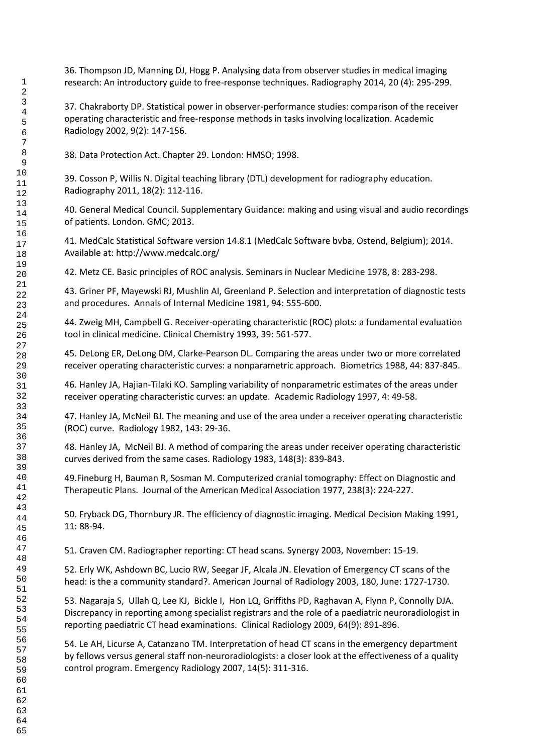36. Thompson JD, Manning DJ, Hogg P. Analysing data from observer studies in medical imaging research: An introductory guide to free-response techniques. Radiography 2014, 20 (4): 295-299.

37. Chakraborty DP. Statistical power in observer-performance studies: comparison of the receiver operating characteristic and free-response methods in tasks involving localization. Academic Radiology 2002, 9(2): 147-156.

38. Data Protection Act. Chapter 29. London: HMSO; 1998.

39. Cosson P, Willis N. Digital teaching library (DTL) development for radiography education. Radiography 2011, 18(2): 112-116.

40. General Medical Council. Supplementary Guidance: making and using visual and audio recordings of patients. London. GMC; 2013.

41. MedCalc Statistical Software version 14.8.1 (MedCalc Software bvba, Ostend, Belgium); 2014. Available at: http://www.medcalc.org/

42. Metz CE. Basic principles of ROC analysis. Seminars in Nuclear Medicine 1978, 8: 283-298.

43. Griner PF, Mayewski RJ, Mushlin AI, Greenland P. Selection and interpretation of diagnostic tests and procedures. Annals of Internal Medicine 1981, 94: 555-600.

44. Zweig MH, Campbell G. Receiver-operating characteristic (ROC) plots: a fundamental evaluation tool in clinical medicine. Clinical Chemistry 1993, 39: 561-577.

45. DeLong ER, DeLong DM, Clarke-Pearson DL. Comparing the areas under two or more correlated receiver operating characteristic curves: a nonparametric approach. Biometrics 1988, 44: 837-845.

46. Hanley JA, Hajian-Tilaki KO. Sampling variability of nonparametric estimates of the areas under receiver operating characteristic curves: an update. Academic Radiology 1997, 4: 49-58.

47. Hanley JA, McNeil BJ. The meaning and use of the area under a receiver operating characteristic (ROC) curve. Radiology 1982, 143: 29-36.

48. Hanley JA, McNeil BJ. A method of comparing the areas under receiver operating characteristic curves derived from the same cases. Radiology 1983, 148(3): 839-843.

49.Fineburg H, Bauman R, Sosman M. Computerized cranial tomography: Effect on Diagnostic and Therapeutic Plans. Journal of the American Medical Association 1977, 238(3): 224-227.

50. Fryback DG, Thornbury JR. The efficiency of diagnostic imaging. Medical Decision Making 1991, 11: 88-94.

51. Craven CM. Radiographer reporting: CT head scans. Synergy 2003, November: 15-19.

52. Erly WK, Ashdown BC, Lucio RW, Seegar JF, Alcala JN. Elevation of Emergency CT scans of the head: is the a community standard?. American Journal of Radiology 2003, 180, June: 1727-1730.

53. Nagaraja S, Ullah Q, Lee KJ, Bickle I, Hon LQ, Griffiths PD, Raghavan A, Flynn P, Connolly DJA. Discrepancy in reporting among specialist registrars and the role of a paediatric neuroradiologist in reporting paediatric CT head examinations. Clinical Radiology 2009, 64(9): 891-896.

54. Le AH, Licurse A, Catanzano TM. Interpretation of head CT scans in the emergency department by fellows versus general staff non-neuroradiologists: a closer look at the effectiveness of a quality control program. Emergency Radiology 2007, 14(5): 311-316.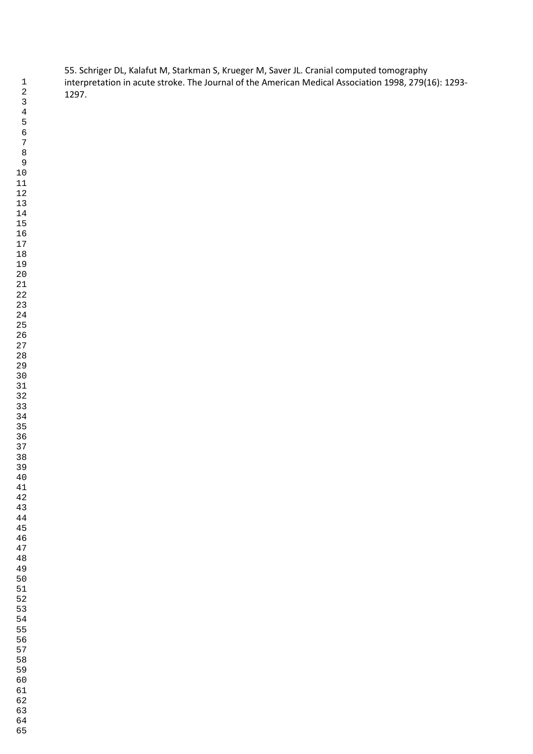55. Schriger DL, Kalafut M, Starkman S, Krueger M, Saver JL. Cranial computed tomography interpretation in acute stroke. The Journal of the American Medical Association 1998, 279(16): 1293- 1297.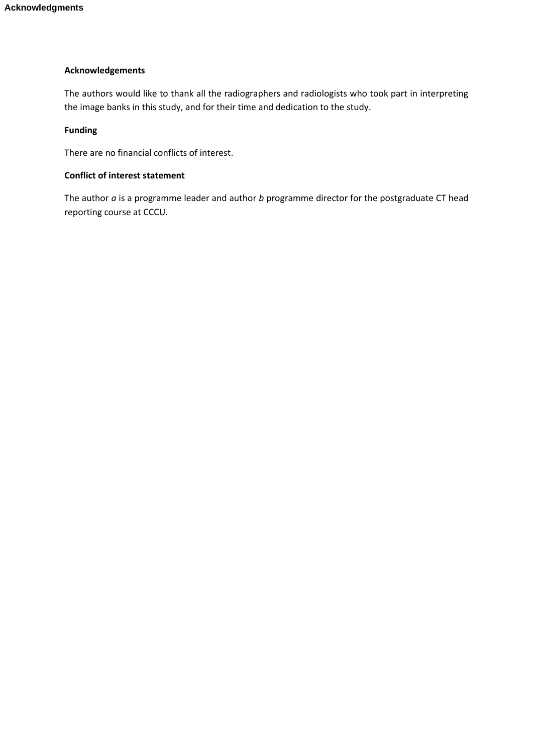## **Acknowledgements**

The authors would like to thank all the radiographers and radiologists who took part in interpreting the image banks in this study, and for their time and dedication to the study.

# **Funding**

There are no financial conflicts of interest.

# **Conflict of interest statement**

The author *a* is a programme leader and author *b* programme director for the postgraduate CT head reporting course at CCCU.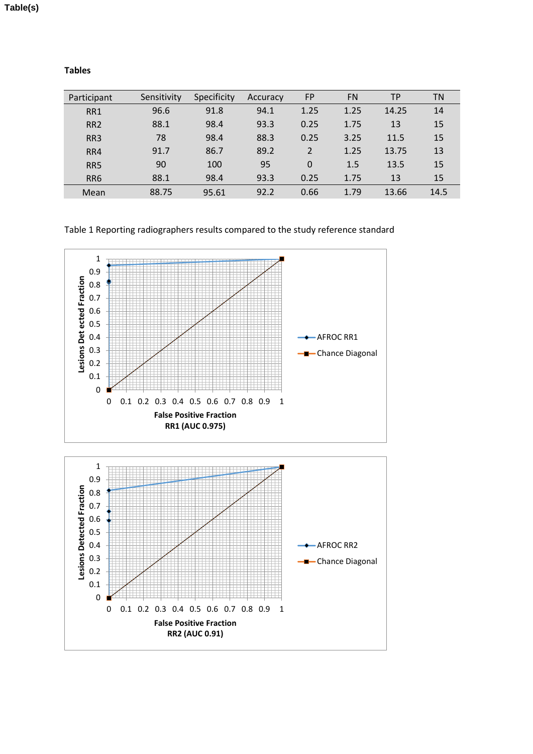| . .<br>. .<br>۰.<br>۰.<br>×<br>×<br>× |
|---------------------------------------|
|---------------------------------------|

| Participant     | Sensitivity | Specificity | Accuracy | <b>FP</b>      | <b>FN</b> | <b>TP</b> | ΤN   |
|-----------------|-------------|-------------|----------|----------------|-----------|-----------|------|
| RR1             | 96.6        | 91.8        | 94.1     | 1.25           | 1.25      | 14.25     | 14   |
| RR <sub>2</sub> | 88.1        | 98.4        | 93.3     | 0.25           | 1.75      | 13        | 15   |
| RR <sub>3</sub> | 78          | 98.4        | 88.3     | 0.25           | 3.25      | 11.5      | 15   |
| RR4             | 91.7        | 86.7        | 89.2     | $\overline{2}$ | 1.25      | 13.75     | 13   |
| RR5             | 90          | 100         | 95       | 0              | 1.5       | 13.5      | 15   |
| RR <sub>6</sub> | 88.1        | 98.4        | 93.3     | 0.25           | 1.75      | 13        | 15   |
| Mean            | 88.75       | 95.61       | 92.2     | 0.66           | 1.79      | 13.66     | 14.5 |

Table 1 Reporting radiographers results compared to the study reference standard

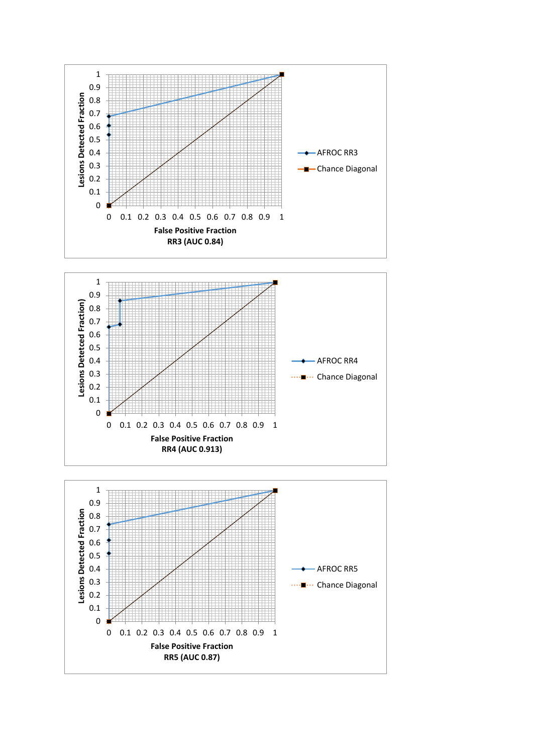



**RR4 (AUC 0.913)**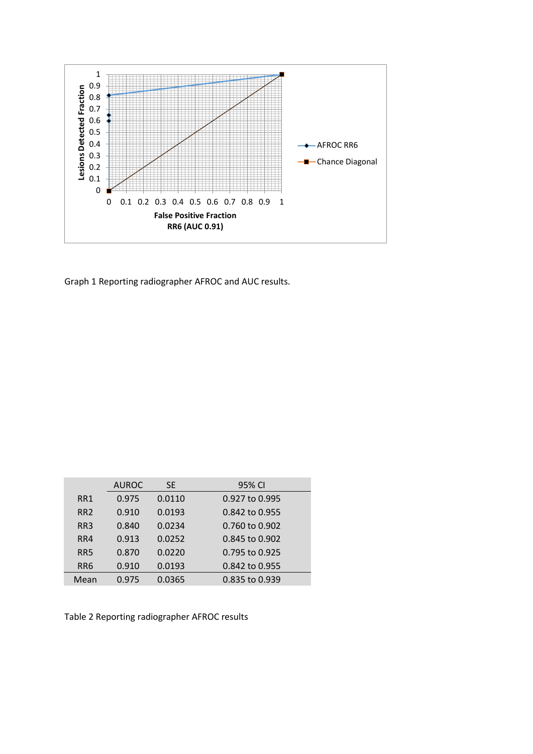

Graph 1 Reporting radiographer AFROC and AUC results.

|                 | <b>AUROC</b> | <b>SE</b> | 95% CI         |
|-----------------|--------------|-----------|----------------|
| RR1             | 0.975        | 0.0110    | 0.927 to 0.995 |
| RR <sub>2</sub> | 0.910        | 0.0193    | 0.842 to 0.955 |
| RR <sub>3</sub> | 0.840        | 0.0234    | 0.760 to 0.902 |
| RR4             | 0.913        | 0.0252    | 0.845 to 0.902 |
| RR <sub>5</sub> | 0.870        | 0.0220    | 0.795 to 0.925 |
| RR <sub>6</sub> | 0.910        | 0.0193    | 0.842 to 0.955 |
| Mean            | 0.975        | 0.0365    | 0.835 to 0.939 |

Table 2 Reporting radiographer AFROC results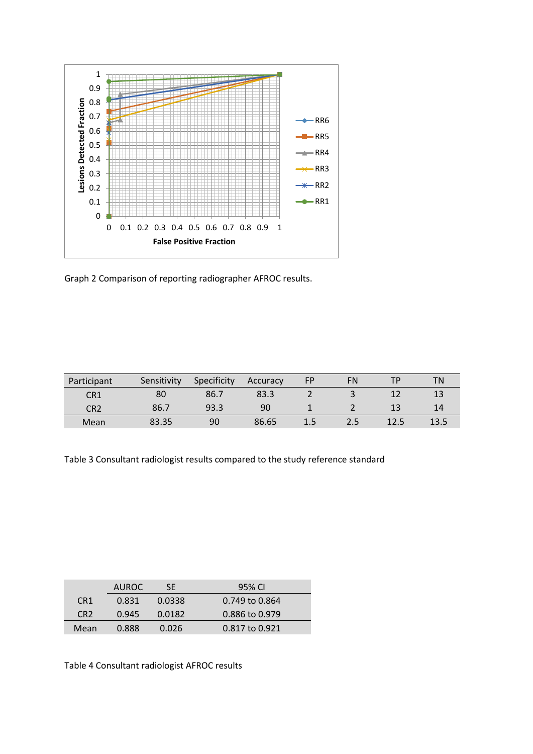

Graph 2 Comparison of reporting radiographer AFROC results.

| Participant     | Sensitivity | Specificity | Accuracy | FP  | FN  | тD   | ΤN   |
|-----------------|-------------|-------------|----------|-----|-----|------|------|
| CR <sub>1</sub> | 80          | 86.7        | 83.3     |     |     |      |      |
| CR2             | 86.7        | 93.3        | 90       |     |     | 12   | 14   |
| Mean            | 83.35       | 90          | 86.65    | 1.5 | 2.5 | 12.5 | 13.5 |

Table 3 Consultant radiologist results compared to the study reference standard

|                 | AUROC. | SF     | 95% CI         |
|-----------------|--------|--------|----------------|
| CR <sub>1</sub> | 0.831  | 0.0338 | 0.749 to 0.864 |
| CR <sub>2</sub> | 0.945  | 0.0182 | 0.886 to 0.979 |
| Mean            | 0.888  | 0.026  | 0.817 to 0.921 |

Table 4 Consultant radiologist AFROC results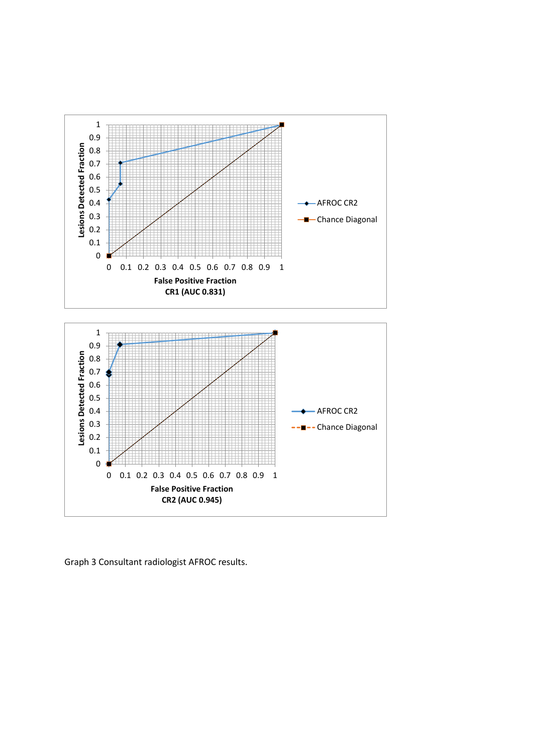

Graph 3 Consultant radiologist AFROC results.